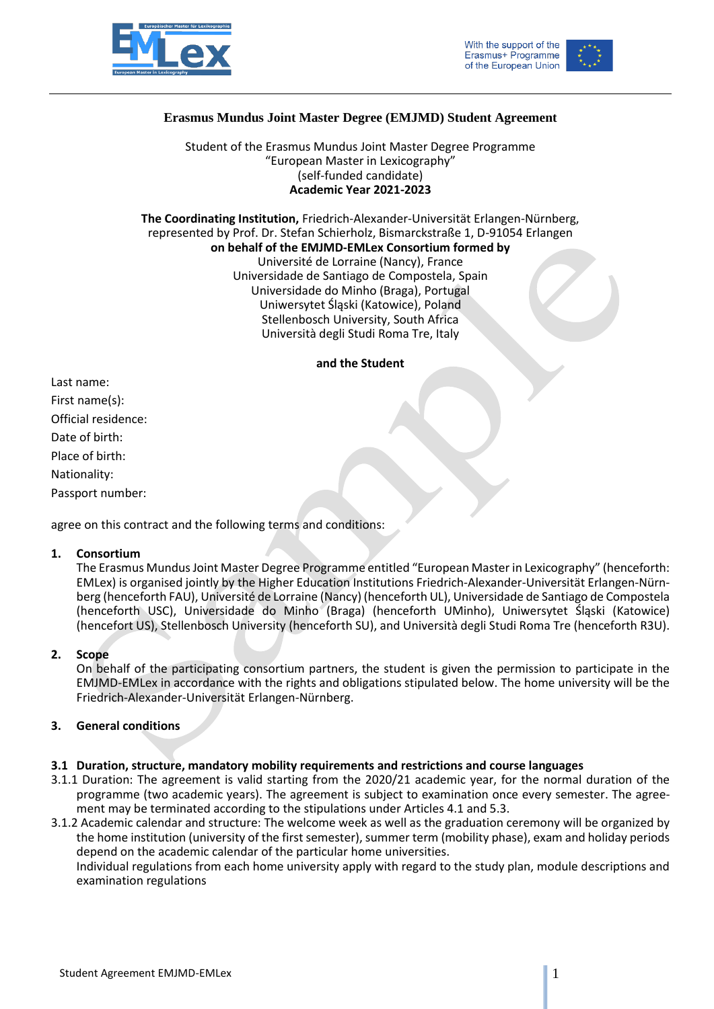





# **Erasmus Mundus Joint Master Degree (EMJMD) Student Agreement**

Student of the Erasmus Mundus Joint Master Degree Programme "European Master in Lexicography" (self-funded candidate) **Academic Year 2021-2023**

**The Coordinating Institution,** Friedrich-Alexander-Universität Erlangen-Nürnberg, represented by Prof. Dr. Stefan Schierholz, Bismarckstraße 1, D-91054 Erlangen **on behalf of the EMJMD-EMLex Consortium formed by** Université de Lorraine (Nancy), France Universidade de Santiago de Compostela, Spain Universidade do Minho (Braga), Portugal Uniwersytet Śląski (Katowice), Poland Stellenbosch University, South Africa

Università degli Studi Roma Tre, Italy

#### **and the Student**

Last name: First name(s): Official residence: Date of birth: Place of birth: Nationality: Passport number:

agree on this contract and the following terms and conditions:

#### **1. Consortium**

The Erasmus Mundus Joint Master Degree Programme entitled "European Master in Lexicography" (henceforth: EMLex) is organised jointly by the Higher Education Institutions Friedrich-Alexander-Universität Erlangen-Nürnberg (henceforth FAU), Université de Lorraine (Nancy) (henceforth UL), Universidade de Santiago de Compostela (henceforth USC), Universidade do Minho (Braga) (henceforth UMinho), Uniwersytet Śląski (Katowice) (hencefort US), Stellenbosch University (henceforth SU), and Università degli Studi Roma Tre (henceforth R3U).

# **2. Scope**

On behalf of the participating consortium partners, the student is given the permission to participate in the EMJMD-EMLex in accordance with the rights and obligations stipulated below. The home university will be the Friedrich-Alexander-Universität Erlangen-Nürnberg.

# **3. General conditions**

# **3.1 Duration, structure, mandatory mobility requirements and restrictions and course languages**

3.1.1 Duration: The agreement is valid starting from the 2020/21 academic year, for the normal duration of the programme (two academic years). The agreement is subject to examination once every semester. The agreement may be terminated according to the stipulations under Articles 4.1 and 5.3.

3.1.2 Academic calendar and structure: The welcome week as well as the graduation ceremony will be organized by the home institution (university of the first semester), summer term (mobility phase), exam and holiday periods depend on the academic calendar of the particular home universities.

Individual regulations from each home university apply with regard to the study plan, module descriptions and examination regulations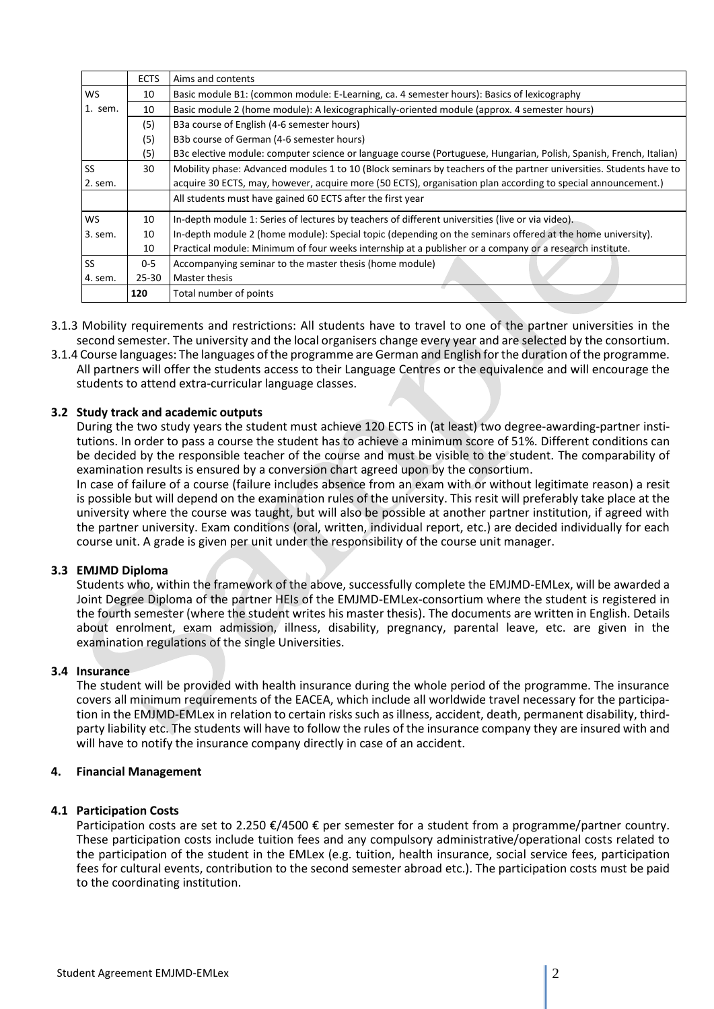|           | <b>ECTS</b> | Aims and contents                                                                                                  |  |  |
|-----------|-------------|--------------------------------------------------------------------------------------------------------------------|--|--|
| <b>WS</b> | 10          | Basic module B1: (common module: E-Learning, ca. 4 semester hours): Basics of lexicography                         |  |  |
| 1. sem.   | 10          | Basic module 2 (home module): A lexicographically-oriented module (approx. 4 semester hours)                       |  |  |
|           | (5)         | B3a course of English (4-6 semester hours)                                                                         |  |  |
|           | (5)         | B3b course of German (4-6 semester hours)                                                                          |  |  |
|           | (5)         | B3c elective module: computer science or language course (Portuguese, Hungarian, Polish, Spanish, French, Italian) |  |  |
| <b>SS</b> | 30          | Mobility phase: Advanced modules 1 to 10 (Block seminars by teachers of the partner universities. Students have to |  |  |
| 2. sem.   |             | acquire 30 ECTS, may, however, acquire more (50 ECTS), organisation plan according to special announcement.)       |  |  |
|           |             | All students must have gained 60 ECTS after the first year                                                         |  |  |
| <b>WS</b> | 10          | In-depth module 1: Series of lectures by teachers of different universities (live or via video).                   |  |  |
| 3. sem.   | 10          | In-depth module 2 (home module): Special topic (depending on the seminars offered at the home university).         |  |  |
|           | 10          | Practical module: Minimum of four weeks internship at a publisher or a company or a research institute.            |  |  |
| <b>SS</b> | $0 - 5$     | Accompanying seminar to the master thesis (home module)                                                            |  |  |
| 4. sem.   | $25 - 30$   | Master thesis                                                                                                      |  |  |
|           | 120         | Total number of points                                                                                             |  |  |

- 3.1.3 Mobility requirements and restrictions: All students have to travel to one of the partner universities in the second semester. The university and the local organisers change every year and are selected by the consortium.
- 3.1.4 Course languages: The languages of the programme are German and English for the duration of the programme. All partners will offer the students access to their Language Centres or the equivalence and will encourage the students to attend extra-curricular language classes.

# **3.2 Study track and academic outputs**

During the two study years the student must achieve 120 ECTS in (at least) two degree-awarding-partner institutions. In order to pass a course the student has to achieve a minimum score of 51%. Different conditions can be decided by the responsible teacher of the course and must be visible to the student. The comparability of examination results is ensured by a conversion chart agreed upon by the consortium.

In case of failure of a course (failure includes absence from an exam with or without legitimate reason) a resit is possible but will depend on the examination rules of the university. This resit will preferably take place at the university where the course was taught, but will also be possible at another partner institution, if agreed with the partner university. Exam conditions (oral, written, individual report, etc.) are decided individually for each course unit. A grade is given per unit under the responsibility of the course unit manager.

# **3.3 EMJMD Diploma**

Students who, within the framework of the above, successfully complete the EMJMD-EMLex, will be awarded a Joint Degree Diploma of the partner HEIs of the EMJMD-EMLex-consortium where the student is registered in the fourth semester (where the student writes his master thesis). The documents are written in English. Details about enrolment, exam admission, illness, disability, pregnancy, parental leave, etc. are given in the examination regulations of the single Universities.

#### **3.4 Insurance**

The student will be provided with health insurance during the whole period of the programme. The insurance covers all minimum requirements of the EACEA, which include all worldwide travel necessary for the participation in the EMJMD-EMLex in relation to certain risks such as illness, accident, death, permanent disability, thirdparty liability etc. The students will have to follow the rules of the insurance company they are insured with and will have to notify the insurance company directly in case of an accident.

#### **4. Financial Management**

# **4.1 Participation Costs**

Participation costs are set to 2.250 €/4500 € per semester for a student from a programme/partner country. These participation costs include tuition fees and any compulsory administrative/operational costs related to the participation of the student in the EMLex (e.g. tuition, health insurance, social service fees, participation fees for cultural events, contribution to the second semester abroad etc.). The participation costs must be paid to the coordinating institution.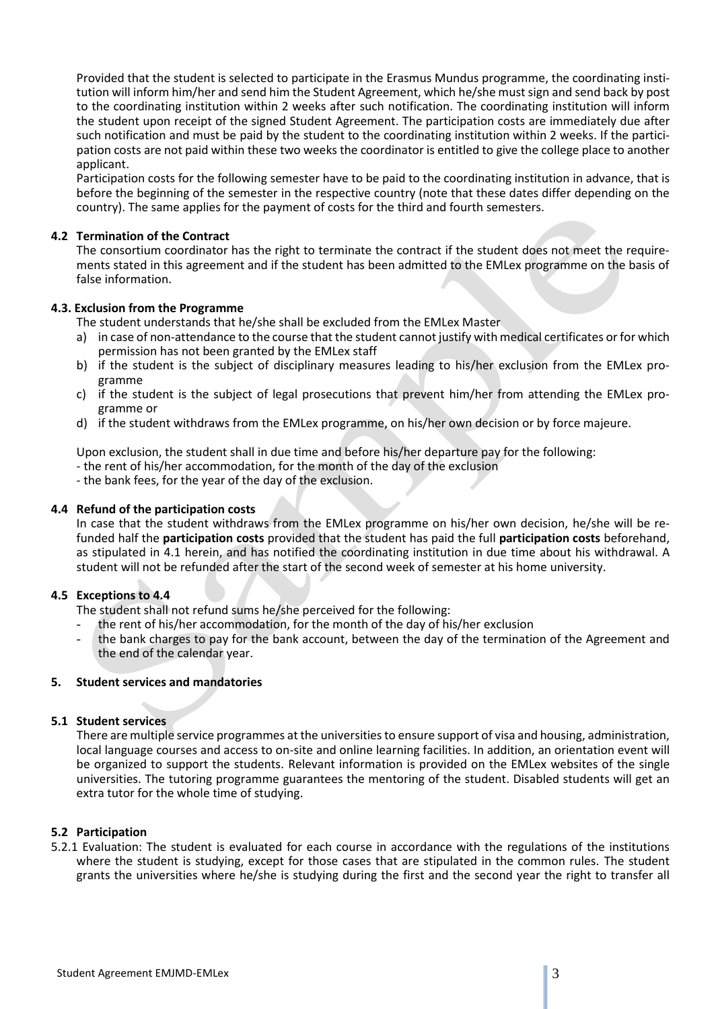Provided that the student is selected to participate in the Erasmus Mundus programme, the coordinating institution will inform him/her and send him the Student Agreement, which he/she must sign and send back by post to the coordinating institution within 2 weeks after such notification. The coordinating institution will inform the student upon receipt of the signed Student Agreement. The participation costs are immediately due after such notification and must be paid by the student to the coordinating institution within 2 weeks. If the participation costs are not paid within these two weeks the coordinator is entitled to give the college place to another applicant.

Participation costs for the following semester have to be paid to the coordinating institution in advance, that is before the beginning of the semester in the respective country (note that these dates differ depending on the country). The same applies for the payment of costs for the third and fourth semesters.

# **4.2 Termination of the Contract**

The consortium coordinator has the right to terminate the contract if the student does not meet the requirements stated in this agreement and if the student has been admitted to the EMLex programme on the basis of false information.

## **4.3. Exclusion from the Programme**

The student understands that he/she shall be excluded from the EMLex Master

- a) in case of non-attendance to the course that the student cannot justify with medical certificates or for which permission has not been granted by the EMLex staff
- b) if the student is the subject of disciplinary measures leading to his/her exclusion from the EMLex programme
- c) if the student is the subject of legal prosecutions that prevent him/her from attending the EMLex programme or
- d) if the student withdraws from the EMLex programme, on his/her own decision or by force majeure.

Upon exclusion, the student shall in due time and before his/her departure pay for the following:

- the rent of his/her accommodation, for the month of the day of the exclusion
- the bank fees, for the year of the day of the exclusion.

#### **4.4 Refund of the participation costs**

In case that the student withdraws from the EMLex programme on his/her own decision, he/she will be refunded half the **participation costs** provided that the student has paid the full **participation costs** beforehand, as stipulated in 4.1 herein, and has notified the coordinating institution in due time about his withdrawal. A student will not be refunded after the start of the second week of semester at his home university.

## **4.5 Exceptions to 4.4**

The student shall not refund sums he/she perceived for the following:

- the rent of his/her accommodation, for the month of the day of his/her exclusion
- the bank charges to pay for the bank account, between the day of the termination of the Agreement and the end of the calendar year.

#### **5. Student services and mandatories**

#### **5.1 Student services**

There are multiple service programmes at the universities to ensure support of visa and housing, administration, local language courses and access to on-site and online learning facilities. In addition, an orientation event will be organized to support the students. Relevant information is provided on the EMLex websites of the single universities. The tutoring programme guarantees the mentoring of the student. Disabled students will get an extra tutor for the whole time of studying.

# **5.2 Participation**

5.2.1 Evaluation: The student is evaluated for each course in accordance with the regulations of the institutions where the student is studying, except for those cases that are stipulated in the common rules. The student grants the universities where he/she is studying during the first and the second year the right to transfer all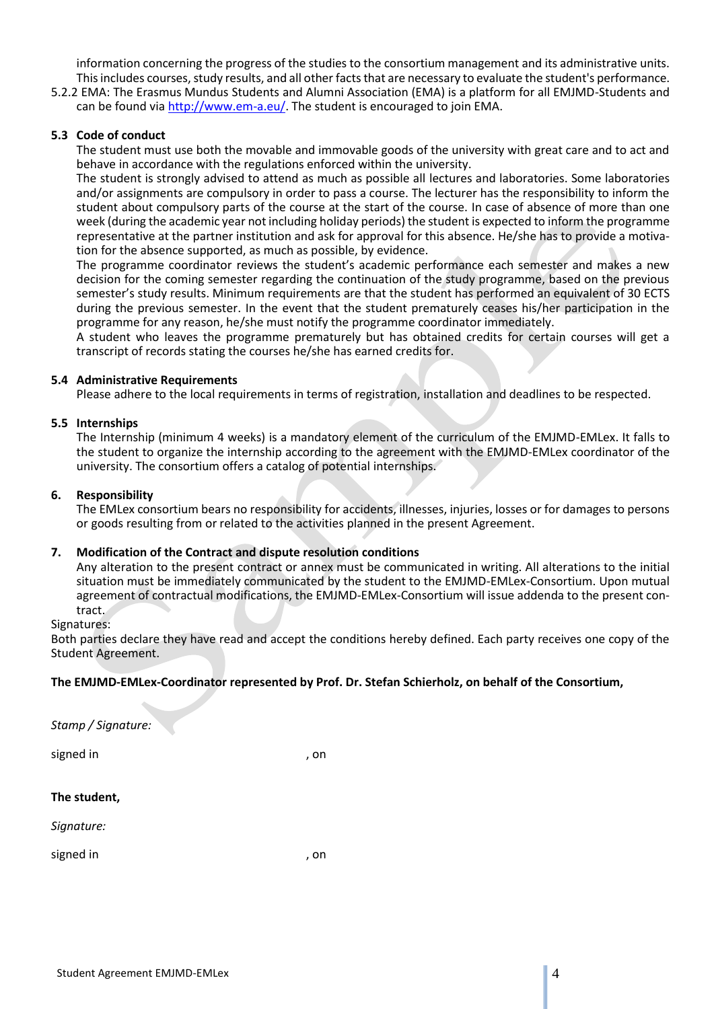information concerning the progress of the studies to the consortium management and its administrative units. This includes courses, study results, and all other facts that are necessary to evaluate the student's performance.

5.2.2 EMA: The Erasmus Mundus Students and Alumni Association (EMA) is a platform for all EMJMD-Students and can be found via [http://www.em-a.eu/.](http://www.em-a.eu/) The student is encouraged to join EMA.

# **5.3 Code of conduct**

The student must use both the movable and immovable goods of the university with great care and to act and behave in accordance with the regulations enforced within the university.

The student is strongly advised to attend as much as possible all lectures and laboratories. Some laboratories and/or assignments are compulsory in order to pass a course. The lecturer has the responsibility to inform the student about compulsory parts of the course at the start of the course. In case of absence of more than one week (during the academic year not including holiday periods) the student is expected to inform the programme representative at the partner institution and ask for approval for this absence. He/she has to provide a motivation for the absence supported, as much as possible, by evidence.

The programme coordinator reviews the student's academic performance each semester and makes a new decision for the coming semester regarding the continuation of the study programme, based on the previous semester's study results. Minimum requirements are that the student has performed an equivalent of 30 ECTS during the previous semester. In the event that the student prematurely ceases his/her participation in the programme for any reason, he/she must notify the programme coordinator immediately.

A student who leaves the programme prematurely but has obtained credits for certain courses will get a transcript of records stating the courses he/she has earned credits for.

#### **5.4 Administrative Requirements**

Please adhere to the local requirements in terms of registration, installation and deadlines to be respected.

## **5.5 Internships**

The Internship (minimum 4 weeks) is a mandatory element of the curriculum of the EMJMD-EMLex. It falls to the student to organize the internship according to the agreement with the EMJMD-EMLex coordinator of the university. The consortium offers a catalog of potential internships.

#### **6. Responsibility**

The EMLex consortium bears no responsibility for accidents, illnesses, injuries, losses or for damages to persons or goods resulting from or related to the activities planned in the present Agreement.

# **7. Modification of the Contract and dispute resolution conditions**

Any alteration to the present contract or annex must be communicated in writing. All alterations to the initial situation must be immediately communicated by the student to the EMJMD-EMLex-Consortium. Upon mutual agreement of contractual modifications, the EMJMD-EMLex-Consortium will issue addenda to the present contract.

Signatures:

Both parties declare they have read and accept the conditions hereby defined. Each party receives one copy of the Student Agreement.

# **The EMJMD-EMLex-Coordinator represented by Prof. Dr. Stefan Schierholz, on behalf of the Consortium,**

| Stamp / Signature: |      |
|--------------------|------|
| signed in          | , on |
| The student,       |      |
| Signature:         |      |
| signed in          | , on |